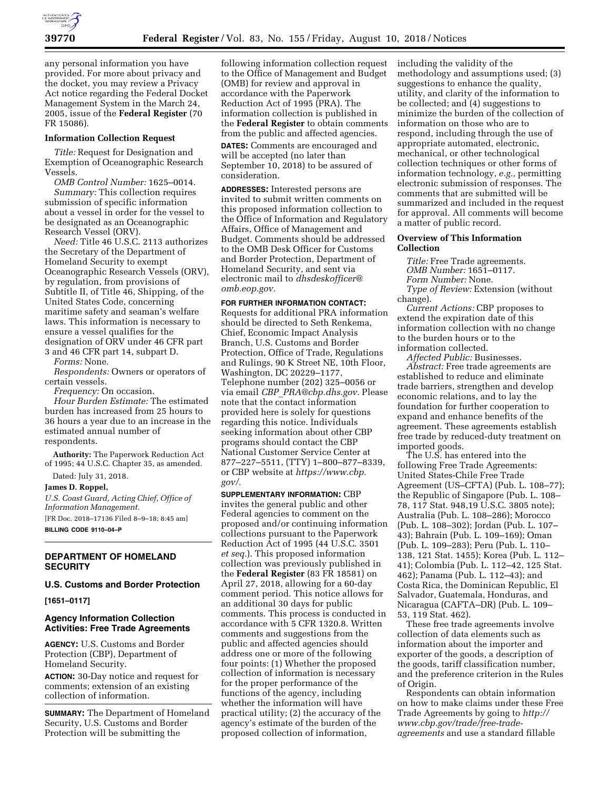

any personal information you have provided. For more about privacy and the docket, you may review a Privacy Act notice regarding the Federal Docket Management System in the March 24, 2005, issue of the **Federal Register** (70 FR 15086).

#### **Information Collection Request**

*Title:* Request for Designation and Exemption of Oceanographic Research Vessels.

*OMB Control Number:* 1625–0014. *Summary:* This collection requires submission of specific information about a vessel in order for the vessel to be designated as an Oceanographic Research Vessel (ORV).

*Need:* Title 46 U.S.C. 2113 authorizes the Secretary of the Department of Homeland Security to exempt Oceanographic Research Vessels (ORV), by regulation, from provisions of Subtitle II, of Title 46, Shipping, of the United States Code, concerning maritime safety and seaman's welfare laws. This information is necessary to ensure a vessel qualifies for the designation of ORV under 46 CFR part 3 and 46 CFR part 14, subpart D.

*Forms:* None.

*Respondents:* Owners or operators of certain vessels.

*Frequency:* On occasion.

*Hour Burden Estimate:* The estimated burden has increased from 25 hours to 36 hours a year due to an increase in the estimated annual number of respondents.

**Authority:** The Paperwork Reduction Act of 1995; 44 U.S.C. Chapter 35, as amended.

Dated: July 31, 2018.

**James D. Roppel,**  *U.S. Coast Guard, Acting Chief, Office of Information Management.*  [FR Doc. 2018–17136 Filed 8–9–18; 8:45 am]

**BILLING CODE 9110–04–P** 

## **DEPARTMENT OF HOMELAND SECURITY**

### **U.S. Customs and Border Protection**

**[1651–0117]** 

# **Agency Information Collection Activities: Free Trade Agreements**

**AGENCY:** U.S. Customs and Border Protection (CBP), Department of Homeland Security.

**ACTION:** 30-Day notice and request for comments; extension of an existing collection of information.

**SUMMARY:** The Department of Homeland Security, U.S. Customs and Border Protection will be submitting the

following information collection request to the Office of Management and Budget (OMB) for review and approval in accordance with the Paperwork Reduction Act of 1995 (PRA). The information collection is published in the **Federal Register** to obtain comments from the public and affected agencies.

**DATES:** Comments are encouraged and will be accepted (no later than September 10, 2018) to be assured of consideration.

**ADDRESSES:** Interested persons are invited to submit written comments on this proposed information collection to the Office of Information and Regulatory Affairs, Office of Management and Budget. Comments should be addressed to the OMB Desk Officer for Customs and Border Protection, Department of Homeland Security, and sent via electronic mail to *[dhsdeskofficer@](mailto:dhsdeskofficer@omb.eop.gov) [omb.eop.gov.](mailto:dhsdeskofficer@omb.eop.gov)* 

### **FOR FURTHER INFORMATION CONTACT:**

Requests for additional PRA information should be directed to Seth Renkema, Chief, Economic Impact Analysis Branch, U.S. Customs and Border Protection, Office of Trade, Regulations and Rulings, 90 K Street NE, 10th Floor, Washington, DC 20229–1177, Telephone number (202) 325–0056 or via email *CBP*\_*[PRA@cbp.dhs.gov.](mailto:CBP_PRA@cbp.dhs.gov)* Please note that the contact information provided here is solely for questions regarding this notice. Individuals seeking information about other CBP programs should contact the CBP National Customer Service Center at 877–227–5511, (TTY) 1–800–877–8339, or CBP website at *[https://www.cbp.](https://www.cbp.gov/)  [gov/.](https://www.cbp.gov/)* 

**SUPPLEMENTARY INFORMATION:** CBP invites the general public and other Federal agencies to comment on the proposed and/or continuing information collections pursuant to the Paperwork Reduction Act of 1995 (44 U.S.C. 3501 *et seq.*). This proposed information collection was previously published in the **Federal Register** (83 FR 18581) on April 27, 2018, allowing for a 60-day comment period. This notice allows for an additional 30 days for public comments. This process is conducted in accordance with 5 CFR 1320.8. Written comments and suggestions from the public and affected agencies should address one or more of the following four points: (1) Whether the proposed collection of information is necessary for the proper performance of the functions of the agency, including whether the information will have practical utility; (2) the accuracy of the agency's estimate of the burden of the proposed collection of information,

including the validity of the methodology and assumptions used; (3) suggestions to enhance the quality, utility, and clarity of the information to be collected; and (4) suggestions to minimize the burden of the collection of information on those who are to respond, including through the use of appropriate automated, electronic, mechanical, or other technological collection techniques or other forms of information technology, *e.g.,* permitting electronic submission of responses. The comments that are submitted will be summarized and included in the request for approval. All comments will become a matter of public record.

#### **Overview of This Information Collection**

*Title:* Free Trade agreements. *OMB Number:* 1651–0117.

*Form Number:* None.

*Type of Review:* Extension (without change).

*Current Actions:* CBP proposes to extend the expiration date of this information collection with no change to the burden hours or to the information collected.

*Affected Public:* Businesses.

*Abstract:* Free trade agreements are established to reduce and eliminate trade barriers, strengthen and develop economic relations, and to lay the foundation for further cooperation to expand and enhance benefits of the agreement. These agreements establish free trade by reduced-duty treatment on imported goods.

The U.S. has entered into the following Free Trade Agreements: United States-Chile Free Trade Agreement (US–CFTA) (Pub. L. 108–77); the Republic of Singapore (Pub. L. 108– 78, 117 Stat. 948,19 U.S.C. 3805 note); Australia (Pub. L. 108–286); Morocco (Pub. L. 108–302); Jordan (Pub. L. 107– 43); Bahrain (Pub. L. 109–169); Oman (Pub. L. 109–283); Peru (Pub. L. 110– 138, 121 Stat. 1455); Korea (Pub. L. 112– 41); Colombia (Pub. L. 112–42, 125 Stat. 462); Panama (Pub. L. 112–43); and Costa Rica, the Dominican Republic, El Salvador, Guatemala, Honduras, and Nicaragua (CAFTA–DR) (Pub. L. 109– 53, 119 Stat. 462).

These free trade agreements involve collection of data elements such as information about the importer and exporter of the goods, a description of the goods, tariff classification number, and the preference criterion in the Rules of Origin.

Respondents can obtain information on how to make claims under these Free Trade Agreements by going to *[http://](http://www.cbp.gov/trade/free-trade-agreements) [www.cbp.gov/trade/free-trade](http://www.cbp.gov/trade/free-trade-agreements)[agreements](http://www.cbp.gov/trade/free-trade-agreements)* and use a standard fillable